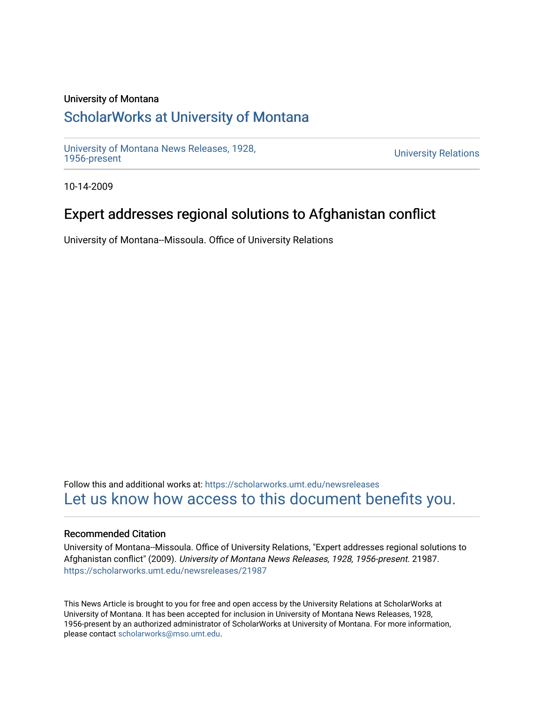#### University of Montana

# [ScholarWorks at University of Montana](https://scholarworks.umt.edu/)

[University of Montana News Releases, 1928,](https://scholarworks.umt.edu/newsreleases) 

**University Relations** 

10-14-2009

# Expert addresses regional solutions to Afghanistan conflict

University of Montana--Missoula. Office of University Relations

Follow this and additional works at: [https://scholarworks.umt.edu/newsreleases](https://scholarworks.umt.edu/newsreleases?utm_source=scholarworks.umt.edu%2Fnewsreleases%2F21987&utm_medium=PDF&utm_campaign=PDFCoverPages) [Let us know how access to this document benefits you.](https://goo.gl/forms/s2rGfXOLzz71qgsB2) 

#### Recommended Citation

University of Montana--Missoula. Office of University Relations, "Expert addresses regional solutions to Afghanistan conflict" (2009). University of Montana News Releases, 1928, 1956-present. 21987. [https://scholarworks.umt.edu/newsreleases/21987](https://scholarworks.umt.edu/newsreleases/21987?utm_source=scholarworks.umt.edu%2Fnewsreleases%2F21987&utm_medium=PDF&utm_campaign=PDFCoverPages) 

This News Article is brought to you for free and open access by the University Relations at ScholarWorks at University of Montana. It has been accepted for inclusion in University of Montana News Releases, 1928, 1956-present by an authorized administrator of ScholarWorks at University of Montana. For more information, please contact [scholarworks@mso.umt.edu.](mailto:scholarworks@mso.umt.edu)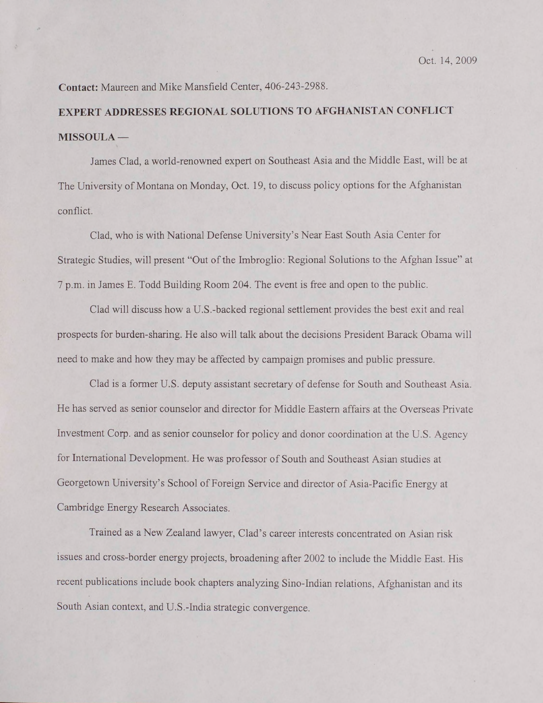**Contact:** Maureen and Mike Mansfield Center, 406-243-2988.

### **EXPERT ADDRESSES REGIONAL SOLUTIONS TO AFGHANISTAN CONFLICT MISSOULA —**

James Clad, a world-renowned expert on Southeast Asia and the Middle East, will be at The University of Montana on Monday, Oct. 19, to discuss policy options for the Afghanistan conflict.

Clad, who is with National Defense University's Near East South Asia Center for Strategic Studies, will present "Out of the Imbroglio: Regional Solutions to the Afghan Issue" at 7 p.m. in James E. Todd Building Room 204. The event is free and open to the public.

Clad will discuss how a U.S.-backed regional settlement provides the best exit and real prospects for burden-sharing. He also will talk about the decisions President Barack Obama will need to make and how they may be affected by campaign promises and public pressure.

Clad is a former U.S. deputy assistant secretary of defense for South and Southeast Asia. He has served as senior counselor and director for Middle Eastern affairs at the Overseas Private Investment Corp. and as senior counselor for policy and donor coordination at the U.S. Agency for International Development. He was professor of South and Southeast Asian studies at Georgetown University's School of Foreign Service and director of Asia-Pacific Energy at Cambridge Energy Research Associates.

Trained as a New Zealand lawyer, Clad's career interests concentrated on Asian risk issues and cross-border energy projects, broadening after 2002 to include the Middle East. His recent publications include book chapters analyzing Sino-lndian relations, Afghanistan and its South Asian context, and U.S.-India strategic convergence.